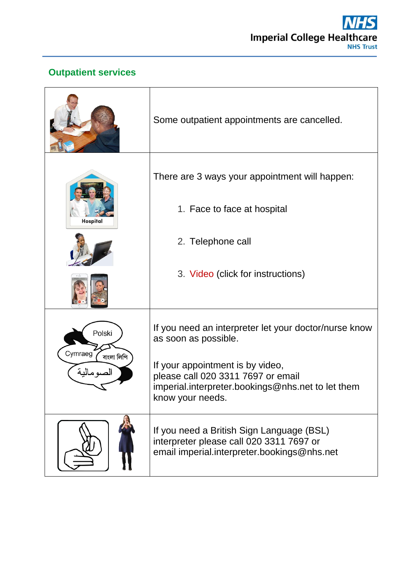

## **Outpatient services**

|                                    | Some outpatient appointments are cancelled.                                                                                                     |
|------------------------------------|-------------------------------------------------------------------------------------------------------------------------------------------------|
|                                    | There are 3 ways your appointment will happen:<br>1. Face to face at hospital                                                                   |
| Hospital                           | 2. Telephone call                                                                                                                               |
|                                    | 3. Video (click for instructions)                                                                                                               |
| Polski                             | If you need an interpreter let your doctor/nurse know<br>as soon as possible.                                                                   |
| Cymraeg<br>বাংলা লিপি<br>الصومالية | If your appointment is by video,<br>please call 020 3311 7697 or email<br>imperial.interpreter.bookings@nhs.net to let them<br>know your needs. |
|                                    | If you need a British Sign Language (BSL)<br>interpreter please call 020 3311 7697 or<br>email imperial interpreter bookings@nhs.net            |